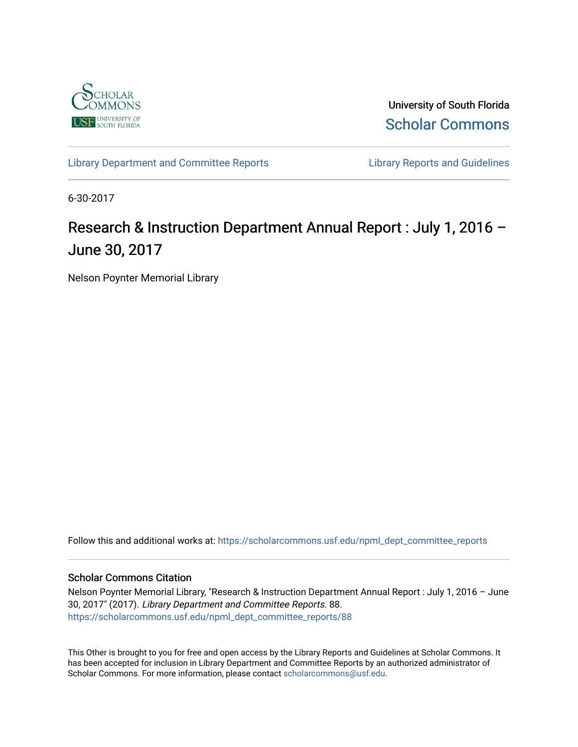

University of South Florida [Scholar Commons](https://scholarcommons.usf.edu/) 

[Library Department and Committee Reports](https://scholarcommons.usf.edu/npml_dept_committee_reports) **Library Reports and Guidelines** 

6-30-2017

## Research & Instruction Department Annual Report : July 1, 2016 – June 30, 2017

Nelson Poynter Memorial Library

Follow this and additional works at: [https://scholarcommons.usf.edu/npml\\_dept\\_committee\\_reports](https://scholarcommons.usf.edu/npml_dept_committee_reports?utm_source=scholarcommons.usf.edu%2Fnpml_dept_committee_reports%2F88&utm_medium=PDF&utm_campaign=PDFCoverPages)

#### Scholar Commons Citation

Nelson Poynter Memorial Library, "Research & Instruction Department Annual Report : July 1, 2016 – June 30, 2017" (2017). Library Department and Committee Reports. 88. [https://scholarcommons.usf.edu/npml\\_dept\\_committee\\_reports/88](https://scholarcommons.usf.edu/npml_dept_committee_reports/88?utm_source=scholarcommons.usf.edu%2Fnpml_dept_committee_reports%2F88&utm_medium=PDF&utm_campaign=PDFCoverPages) 

This Other is brought to you for free and open access by the Library Reports and Guidelines at Scholar Commons. It has been accepted for inclusion in Library Department and Committee Reports by an authorized administrator of Scholar Commons. For more information, please contact [scholarcommons@usf.edu](mailto:scholarcommons@usf.edu).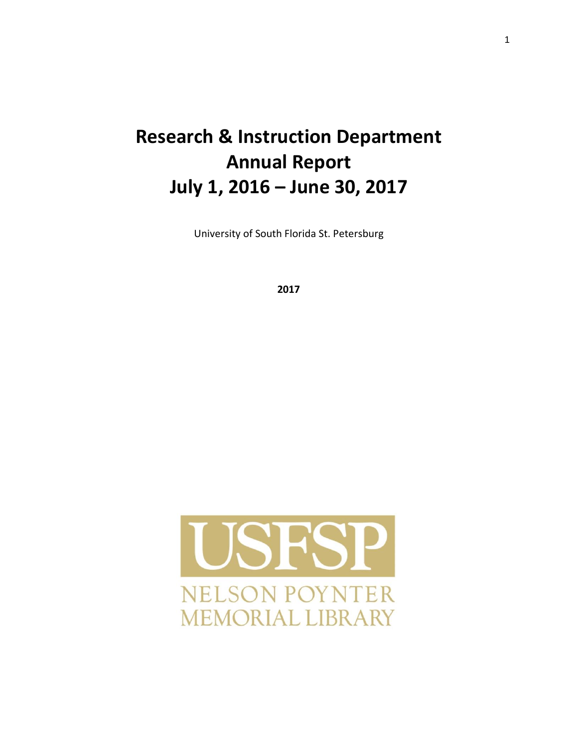# **Research & Instruction Department Annual Report July 1, 2016 – June 30, 2017**

University of South Florida St. Petersburg

**2017**

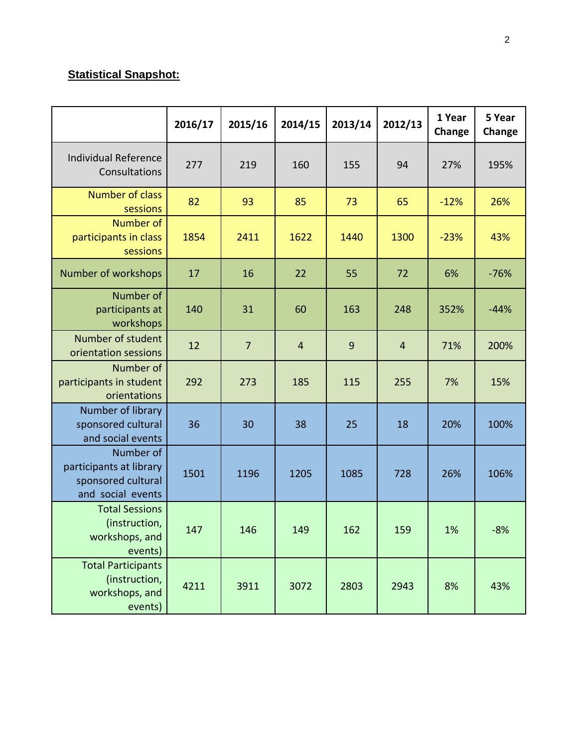## **Statistical Snapshot:**

|                                                                                 | 2016/17 | 2015/16        | 2014/15        | 2013/14 | 2012/13        | 1 Year<br>Change | 5 Year<br>Change |
|---------------------------------------------------------------------------------|---------|----------------|----------------|---------|----------------|------------------|------------------|
| <b>Individual Reference</b><br>Consultations                                    | 277     | 219            | 160            | 155     | 94             | 27%              | 195%             |
| <b>Number of class</b><br>sessions                                              | 82      | 93             | 85             | 73      | 65             | $-12%$           | 26%              |
| <b>Number of</b><br>participants in class<br>sessions                           | 1854    | 2411           | 1622           | 1440    | 1300           | $-23%$           | 43%              |
| Number of workshops                                                             | 17      | 16             | 22             | 55      | 72             | 6%               | $-76%$           |
| Number of<br>participants at<br>workshops                                       | 140     | 31             | 60             | 163     | 248            | 352%             | $-44%$           |
| Number of student<br>orientation sessions                                       | 12      | $\overline{7}$ | $\overline{4}$ | 9       | $\overline{4}$ | 71%              | 200%             |
| Number of<br>participants in student<br>orientations                            | 292     | 273            | 185            | 115     | 255            | 7%               | 15%              |
| Number of library<br>sponsored cultural<br>and social events                    | 36      | 30             | 38             | 25      | 18             | 20%              | 100%             |
| Number of<br>participants at library<br>sponsored cultural<br>and social events | 1501    | 1196           | 1205           | 1085    | 728            | 26%              | 106%             |
| <b>Total Sessions</b><br>(instruction,<br>workshops, and<br>events)             | 147     | 146            | 149            | 162     | 159            | 1%               | $-8%$            |
| <b>Total Participants</b><br>(instruction,<br>workshops, and<br>events)         | 4211    | 3911           | 3072           | 2803    | 2943           | 8%               | 43%              |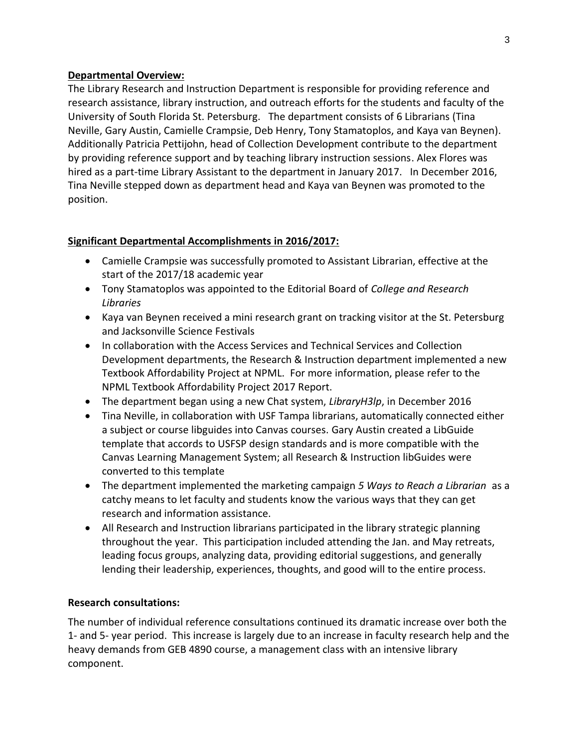#### **Departmental Overview:**

The Library Research and Instruction Department is responsible for providing reference and research assistance, library instruction, and outreach efforts for the students and faculty of the University of South Florida St. Petersburg. The department consists of 6 Librarians (Tina Neville, Gary Austin, Camielle Crampsie, Deb Henry, Tony Stamatoplos, and Kaya van Beynen). Additionally Patricia Pettijohn, head of Collection Development contribute to the department by providing reference support and by teaching library instruction sessions. Alex Flores was hired as a part-time Library Assistant to the department in January 2017. In December 2016, Tina Neville stepped down as department head and Kaya van Beynen was promoted to the position.

#### **Significant Departmental Accomplishments in 2016/2017:**

- Camielle Crampsie was successfully promoted to Assistant Librarian, effective at the start of the 2017/18 academic year
- Tony Stamatoplos was appointed to the Editorial Board of *College and Research Libraries*
- Kaya van Beynen received a mini research grant on tracking visitor at the St. Petersburg and Jacksonville Science Festivals
- In collaboration with the Access Services and Technical Services and Collection Development departments, the Research & Instruction department implemented a new Textbook Affordability Project at NPML. For more information, please refer to the NPML Textbook Affordability Project 2017 Report.
- The department began using a new Chat system, *LibraryH3lp*, in December 2016
- Tina Neville, in collaboration with USF Tampa librarians, automatically connected either a subject or course libguides into Canvas courses. Gary Austin created a LibGuide template that accords to USFSP design standards and is more compatible with the Canvas Learning Management System; all Research & Instruction libGuides were converted to this template
- The department implemented the marketing campaign *5 Ways to Reach a Librarian* as a catchy means to let faculty and students know the various ways that they can get research and information assistance.
- All Research and Instruction librarians participated in the library strategic planning throughout the year. This participation included attending the Jan. and May retreats, leading focus groups, analyzing data, providing editorial suggestions, and generally lending their leadership, experiences, thoughts, and good will to the entire process.

#### **Research consultations:**

The number of individual reference consultations continued its dramatic increase over both the 1- and 5- year period. This increase is largely due to an increase in faculty research help and the heavy demands from GEB 4890 course, a management class with an intensive library component.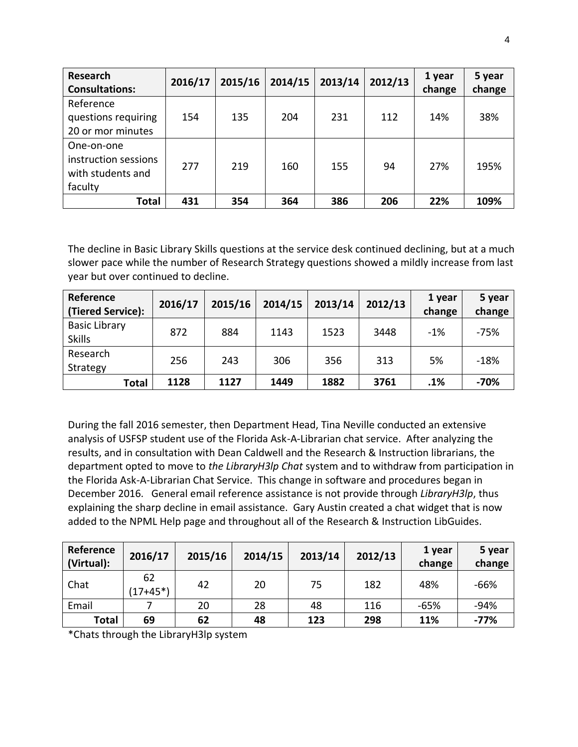| <b>Research</b><br><b>Consultations:</b>                           | 2016/17 | 2015/16 | 2014/15 | 2013/14 | 2012/13 | 1 year<br>change | 5 year<br>change |
|--------------------------------------------------------------------|---------|---------|---------|---------|---------|------------------|------------------|
| Reference<br>questions requiring<br>20 or mor minutes              | 154     | 135     | 204     | 231     | 112     | 14%              | 38%              |
| One-on-one<br>instruction sessions<br>with students and<br>faculty | 277     | 219     | 160     | 155     | 94      | 27%              | 195%             |
| Total                                                              | 431     | 354     | 364     | 386     | 206     | 22%              | 109%             |

The decline in Basic Library Skills questions at the service desk continued declining, but at a much slower pace while the number of Research Strategy questions showed a mildly increase from last year but over continued to decline.

| Reference<br>(Tiered Service):        | 2016/17 | 2015/16 | 2014/15 | 2013/14 | 2012/13 | 1 year<br>change | 5 year<br>change |
|---------------------------------------|---------|---------|---------|---------|---------|------------------|------------------|
| <b>Basic Library</b><br><b>Skills</b> | 872     | 884     | 1143    | 1523    | 3448    | $-1%$            | $-75%$           |
| Research<br>Strategy                  | 256     | 243     | 306     | 356     | 313     | 5%               | $-18%$           |
| <b>Total</b>                          | 1128    | 1127    | 1449    | 1882    | 3761    | .1%              | -70%             |

During the fall 2016 semester, then Department Head, Tina Neville conducted an extensive analysis of USFSP student use of the Florida Ask-A-Librarian chat service. After analyzing the results, and in consultation with Dean Caldwell and the Research & Instruction librarians, the department opted to move to *the LibraryH3lp Chat* system and to withdraw from participation in the Florida Ask-A-Librarian Chat Service. This change in software and procedures began in December 2016. General email reference assistance is not provide through *LibraryH3lp*, thus explaining the sharp decline in email assistance. Gary Austin created a chat widget that is now added to the NPML Help page and throughout all of the Research & Instruction LibGuides.

| Reference<br>(Virtual): | 2016/17          | 2015/16 | 2014/15 | 2013/14 | 2012/13 | 1 year<br>change | 5 year<br>change |
|-------------------------|------------------|---------|---------|---------|---------|------------------|------------------|
| Chat                    | 62<br>$(17+45*)$ | 42      | 20      | 75      | 182     | 48%              | -66%             |
| Email                   |                  | 20      | 28      | 48      | 116     | $-65%$           | $-94%$           |
| <b>Total</b>            | 69               | 62      | 48      | 123     | 298     | 11%              | $-77%$           |

\*Chats through the LibraryH3lp system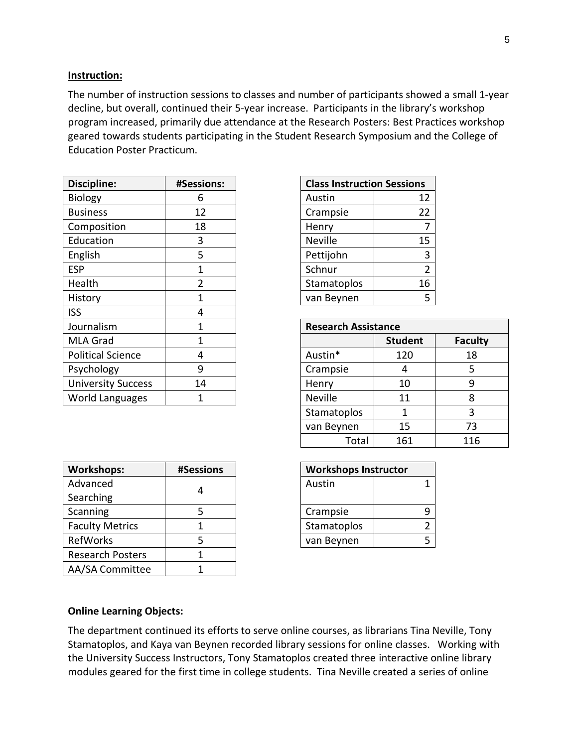#### **Instruction:**

The number of instruction sessions to classes and number of participants showed a small 1-year decline, but overall, continued their 5-year increase. Participants in the library's workshop program increased, primarily due attendance at the Research Posters: Best Practices workshop geared towards students participating in the Student Research Symposium and the College of Education Poster Practicum.

| <b>Discipline:</b>        | <b>#Sessions:</b> |                            | <b>Class Instruction Sessions</b> |  |  |
|---------------------------|-------------------|----------------------------|-----------------------------------|--|--|
| Biology                   | 6                 | Austin                     | 12                                |  |  |
| <b>Business</b>           | 12                | Crampsie                   | 22                                |  |  |
| Composition               | 18                | Henry                      | 7                                 |  |  |
| Education                 | 3                 | <b>Neville</b>             | 15                                |  |  |
| English                   | 5                 | Pettijohn                  | 3                                 |  |  |
| <b>ESP</b>                | 1                 | Schnur                     | $\overline{2}$                    |  |  |
| Health                    | 2                 | Stamatoplos                | 16                                |  |  |
| History                   | 1                 | van Beynen                 | 5                                 |  |  |
| <b>ISS</b>                | 4                 |                            |                                   |  |  |
| Journalism                | $\mathbf{1}$      | <b>Research Assistance</b> |                                   |  |  |
| MLA Grad                  | $\mathbf{1}$      |                            | <b>Student</b>                    |  |  |
| <b>Political Science</b>  | 4                 | Austin*                    | 120                               |  |  |
| Psychology                | 9                 | Crampsie                   | 4                                 |  |  |
| <b>University Success</b> | 14                | Henry                      | 10                                |  |  |
| <b>World Languages</b>    | 1                 | <b>Neville</b>             | 11                                |  |  |

| <b>Class Instruction Sessions</b> |    |  |
|-----------------------------------|----|--|
| Austin                            | 12 |  |
| Crampsie                          | 22 |  |
| Henry                             | 7  |  |
| Neville                           | 15 |  |
| Pettijohn                         | 3  |  |
| Schnur                            | 2  |  |
| Stamatoplos                       | 16 |  |
| van Beynen                        | 5  |  |

| Journalism                |    | <b>Research Assistance</b> |                |                |  |
|---------------------------|----|----------------------------|----------------|----------------|--|
| MLA Grad                  |    |                            | <b>Student</b> | <b>Faculty</b> |  |
| <b>Political Science</b>  |    | Austin*                    | 120            | 18             |  |
| Psychology                | 9  | Crampsie                   |                |                |  |
| <b>University Success</b> | 14 | Henry                      | 10             |                |  |
| World Languages           |    | Neville                    | 11             |                |  |
|                           |    | Stamatoplos                |                |                |  |
|                           |    | van Beynen                 | 15             | 73             |  |
|                           |    | Total                      | 161            | 116            |  |

| <b>Workshops:</b>       | #Sessions |        | <b>Workshops Instructor</b> |   |  |
|-------------------------|-----------|--------|-----------------------------|---|--|
| Advanced                |           | Austin |                             |   |  |
| Searching               |           |        |                             |   |  |
| Scanning                |           |        | Crampsie                    | 9 |  |
| <b>Faculty Metrics</b>  |           |        | Stamatoplos                 |   |  |
| RefWorks                |           |        | van Beynen                  | 5 |  |
| <b>Research Posters</b> |           |        |                             |   |  |
| AA/SA Committee         |           |        |                             |   |  |

| <b>Workshops Instructor</b> |  |  |  |
|-----------------------------|--|--|--|
| Austin                      |  |  |  |
|                             |  |  |  |
| Crampsie                    |  |  |  |
| Stamatoplos                 |  |  |  |
| van Beynen                  |  |  |  |

#### **Online Learning Objects:**

The department continued its efforts to serve online courses, as librarians Tina Neville, Tony Stamatoplos, and Kaya van Beynen recorded library sessions for online classes. Working with the University Success Instructors, Tony Stamatoplos created three interactive online library modules geared for the first time in college students. Tina Neville created a series of online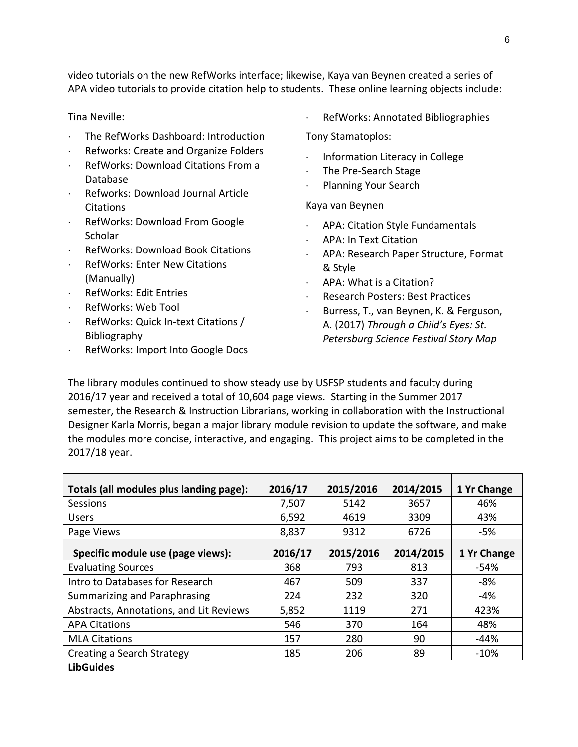video tutorials on the new RefWorks interface; likewise, Kaya van Beynen created a series of APA video tutorials to provide citation help to students. These online learning objects include:

Tina Neville:

- The RefWorks Dashboard: Introduction
- Refworks: Create and Organize Folders
- RefWorks: Download Citations From a Database
- Refworks: Download Journal Article **Citations**
- RefWorks: Download From Google Scholar
- RefWorks: Download Book Citations
- RefWorks: Enter New Citations (Manually)
- RefWorks: Edit Entries
- RefWorks: Web Tool
- RefWorks: Quick In-text Citations / Bibliography
- RefWorks: Import Into Google Docs

RefWorks: Annotated Bibliographies

Tony Stamatoplos:

- Information Literacy in College
- The Pre-Search Stage
- Planning Your Search

Kaya van Beynen

- APA: Citation Style Fundamentals
- APA: In Text Citation
- APA: Research Paper Structure, Format & Style
- APA: What is a Citation?
- Research Posters: Best Practices
- Burress, T., van Beynen, K. & Ferguson, A. (2017) *Through a Child's Eyes: St. Petersburg Science Festival Story Map*

The library modules continued to show steady use by USFSP students and faculty during 2016/17 year and received a total of 10,604 page views. Starting in the Summer 2017 semester, the Research & Instruction Librarians, working in collaboration with the Instructional Designer Karla Morris, began a major library module revision to update the software, and make the modules more concise, interactive, and engaging. This project aims to be completed in the 2017/18 year.

| Totals (all modules plus landing page): | 2016/17 | 2015/2016 | 2014/2015 | 1 Yr Change |
|-----------------------------------------|---------|-----------|-----------|-------------|
| Sessions                                | 7,507   | 5142      | 3657      | 46%         |
| <b>Users</b>                            | 6,592   | 4619      | 3309      | 43%         |
| Page Views                              | 8,837   | 9312      | 6726      | -5%         |
| Specific module use (page views):       | 2016/17 | 2015/2016 | 2014/2015 | 1 Yr Change |
| <b>Evaluating Sources</b>               | 368     | 793       | 813       | $-54%$      |
| Intro to Databases for Research         | 467     | 509       | 337       | -8%         |
| Summarizing and Paraphrasing            | 224     | 232       | 320       | -4%         |
| Abstracts, Annotations, and Lit Reviews | 5,852   | 1119      | 271       | 423%        |
| <b>APA Citations</b>                    | 546     | 370       | 164       | 48%         |
| <b>MLA Citations</b>                    | 157     | 280       | 90        | $-44%$      |
| Creating a Search Strategy              | 185     | 206       | 89        | $-10%$      |
| 1: 1: 2: 3: 4: 5                        |         |           |           |             |

**LibGuides**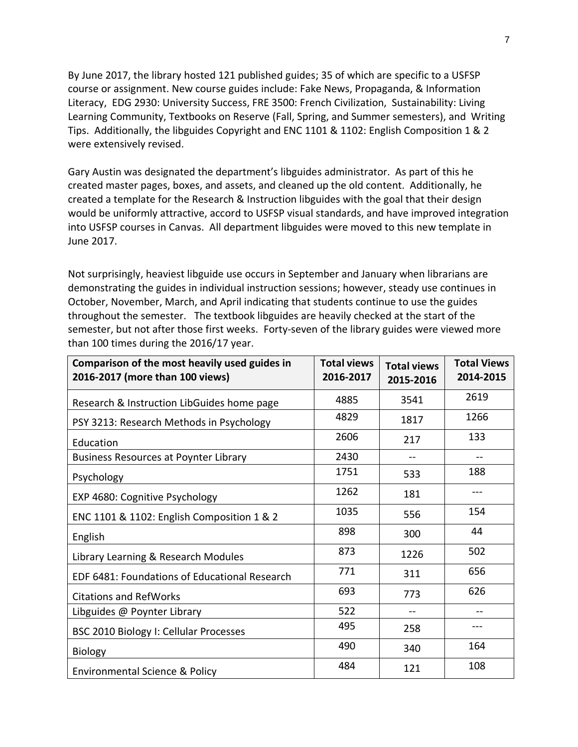By June 2017, the library hosted 121 published guides; 35 of which are specific to a USFSP course or assignment. New course guides include: Fake News, Propaganda, & Information Literacy, EDG 2930: University Success, FRE 3500: French Civilization, Sustainability: Living Learning Community, Textbooks on Reserve (Fall, Spring, and Summer semesters), and Writing Tips. Additionally, the libguides Copyright and ENC 1101 & 1102: English Composition 1 & 2 were extensively revised.

Gary Austin was designated the department's libguides administrator. As part of this he created master pages, boxes, and assets, and cleaned up the old content. Additionally, he created a template for the Research & Instruction libguides with the goal that their design would be uniformly attractive, accord to USFSP visual standards, and have improved integration into USFSP courses in Canvas. All department libguides were moved to this new template in June 2017.

Not surprisingly, heaviest libguide use occurs in September and January when librarians are demonstrating the guides in individual instruction sessions; however, steady use continues in October, November, March, and April indicating that students continue to use the guides throughout the semester. The textbook libguides are heavily checked at the start of the semester, but not after those first weeks. Forty-seven of the library guides were viewed more than 100 times during the 2016/17 year.

| Comparison of the most heavily used guides in<br>2016-2017 (more than 100 views) | <b>Total views</b><br>2016-2017 | <b>Total views</b><br>2015-2016 | <b>Total Views</b><br>2014-2015 |
|----------------------------------------------------------------------------------|---------------------------------|---------------------------------|---------------------------------|
| Research & Instruction LibGuides home page                                       | 4885                            | 3541                            | 2619                            |
| PSY 3213: Research Methods in Psychology                                         | 4829                            | 1817                            | 1266                            |
| Education                                                                        | 2606                            | 217                             | 133                             |
| <b>Business Resources at Poynter Library</b>                                     | 2430                            |                                 |                                 |
| Psychology                                                                       | 1751                            | 533                             | 188                             |
| EXP 4680: Cognitive Psychology                                                   | 1262                            | 181                             |                                 |
| ENC 1101 & 1102: English Composition 1 & 2                                       | 1035                            | 556                             | 154                             |
| English                                                                          | 898                             | 300                             | 44                              |
| Library Learning & Research Modules                                              | 873                             | 1226                            | 502                             |
| EDF 6481: Foundations of Educational Research                                    | 771                             | 311                             | 656                             |
| <b>Citations and RefWorks</b>                                                    | 693                             | 773                             | 626                             |
| Libguides @ Poynter Library                                                      | 522                             | --                              |                                 |
| <b>BSC 2010 Biology I: Cellular Processes</b>                                    | 495                             | 258                             |                                 |
| Biology                                                                          | 490                             | 340                             | 164                             |
| Environmental Science & Policy                                                   | 484                             | 121                             | 108                             |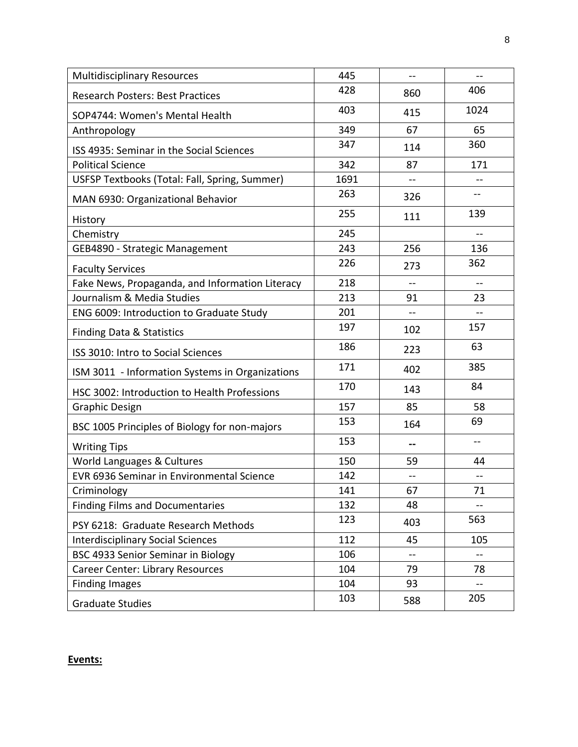| <b>Multidisciplinary Resources</b>              | 445  | $\overline{a}$ | $-$            |
|-------------------------------------------------|------|----------------|----------------|
| <b>Research Posters: Best Practices</b>         | 428  | 860            | 406            |
| SOP4744: Women's Mental Health                  | 403  | 415            | 1024           |
| Anthropology                                    | 349  | 67             | 65             |
| ISS 4935: Seminar in the Social Sciences        | 347  | 114            | 360            |
| <b>Political Science</b>                        | 342  | 87             | 171            |
| USFSP Textbooks (Total: Fall, Spring, Summer)   | 1691 |                |                |
| MAN 6930: Organizational Behavior               | 263  | 326            | $-$            |
| History                                         | 255  | 111            | 139            |
| Chemistry                                       | 245  |                | $-$            |
| GEB4890 - Strategic Management                  | 243  | 256            | 136            |
| <b>Faculty Services</b>                         | 226  | 273            | 362            |
| Fake News, Propaganda, and Information Literacy | 218  | $-$            | $-$            |
| Journalism & Media Studies                      | 213  | 91             | 23             |
| ENG 6009: Introduction to Graduate Study        | 201  | $\overline{a}$ | $\overline{a}$ |
| Finding Data & Statistics                       | 197  | 102            | 157            |
| ISS 3010: Intro to Social Sciences              | 186  | 223            | 63             |
| ISM 3011 - Information Systems in Organizations | 171  | 402            | 385            |
| HSC 3002: Introduction to Health Professions    | 170  | 143            | 84             |
| <b>Graphic Design</b>                           | 157  | 85             | 58             |
| BSC 1005 Principles of Biology for non-majors   | 153  | 164            | 69             |
| <b>Writing Tips</b>                             | 153  |                | $-$            |
| World Languages & Cultures                      | 150  | 59             | 44             |
| EVR 6936 Seminar in Environmental Science       | 142  |                |                |
| Criminology                                     | 141  | 67             | 71             |
| <b>Finding Films and Documentaries</b>          | 132  | 48             | --             |
| PSY 6218: Graduate Research Methods             | 123  | 403            | 563            |
| <b>Interdisciplinary Social Sciences</b>        | 112  | 45             | 105            |
| BSC 4933 Senior Seminar in Biology              | 106  |                |                |
| Career Center: Library Resources                | 104  | 79             | 78             |
| <b>Finding Images</b>                           | 104  | 93             | $-$            |
| <b>Graduate Studies</b>                         | 103  | 588            | 205            |

**Events:**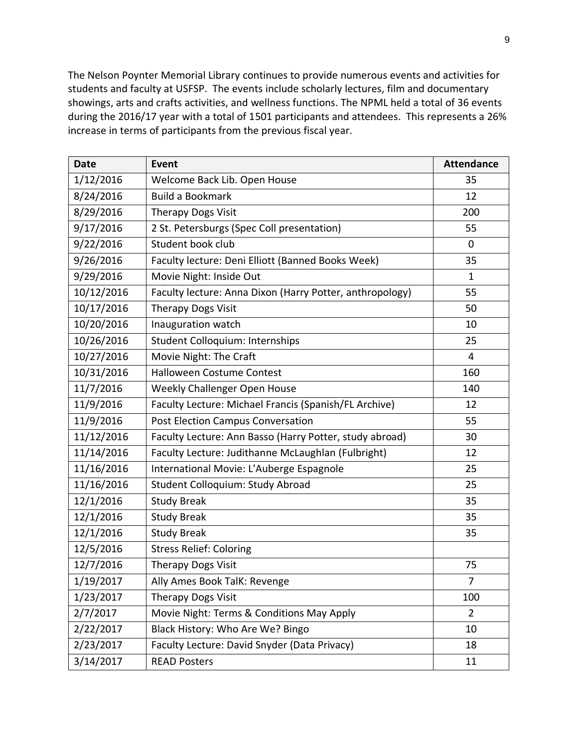The Nelson Poynter Memorial Library continues to provide numerous events and activities for students and faculty at USFSP. The events include scholarly lectures, film and documentary showings, arts and crafts activities, and wellness functions. The NPML held a total of 36 events during the 2016/17 year with a total of 1501 participants and attendees. This represents a 26% increase in terms of participants from the previous fiscal year.

| <b>Date</b> | <b>Event</b>                                             | <b>Attendance</b> |
|-------------|----------------------------------------------------------|-------------------|
| 1/12/2016   | Welcome Back Lib. Open House                             | 35                |
| 8/24/2016   | <b>Build a Bookmark</b>                                  | 12                |
| 8/29/2016   | <b>Therapy Dogs Visit</b>                                | 200               |
| 9/17/2016   | 2 St. Petersburgs (Spec Coll presentation)               | 55                |
| 9/22/2016   | Student book club                                        | $\mathbf 0$       |
| 9/26/2016   | Faculty lecture: Deni Elliott (Banned Books Week)        | 35                |
| 9/29/2016   | Movie Night: Inside Out                                  | $\mathbf 1$       |
| 10/12/2016  | Faculty lecture: Anna Dixon (Harry Potter, anthropology) | 55                |
| 10/17/2016  | <b>Therapy Dogs Visit</b>                                | 50                |
| 10/20/2016  | Inauguration watch                                       | 10                |
| 10/26/2016  | <b>Student Colloquium: Internships</b>                   | 25                |
| 10/27/2016  | Movie Night: The Craft                                   | 4                 |
| 10/31/2016  | <b>Halloween Costume Contest</b>                         | 160               |
| 11/7/2016   | Weekly Challenger Open House                             | 140               |
| 11/9/2016   | Faculty Lecture: Michael Francis (Spanish/FL Archive)    | 12                |
| 11/9/2016   | Post Election Campus Conversation                        | 55                |
| 11/12/2016  | Faculty Lecture: Ann Basso (Harry Potter, study abroad)  | 30                |
| 11/14/2016  | Faculty Lecture: Judithanne McLaughlan (Fulbright)       | 12                |
| 11/16/2016  | International Movie: L'Auberge Espagnole                 | 25                |
| 11/16/2016  | Student Colloquium: Study Abroad                         | 25                |
| 12/1/2016   | <b>Study Break</b>                                       | 35                |
| 12/1/2016   | <b>Study Break</b>                                       | 35                |
| 12/1/2016   | <b>Study Break</b>                                       | 35                |
| 12/5/2016   | <b>Stress Relief: Coloring</b>                           |                   |
| 12/7/2016   | Therapy Dogs Visit                                       | 75                |
| 1/19/2017   | Ally Ames Book TalK: Revenge                             | $\overline{7}$    |
| 1/23/2017   | <b>Therapy Dogs Visit</b>                                | 100               |
| 2/7/2017    | Movie Night: Terms & Conditions May Apply                | $\overline{2}$    |
| 2/22/2017   | Black History: Who Are We? Bingo                         | 10                |
| 2/23/2017   | Faculty Lecture: David Snyder (Data Privacy)             | 18                |
| 3/14/2017   | <b>READ Posters</b>                                      | 11                |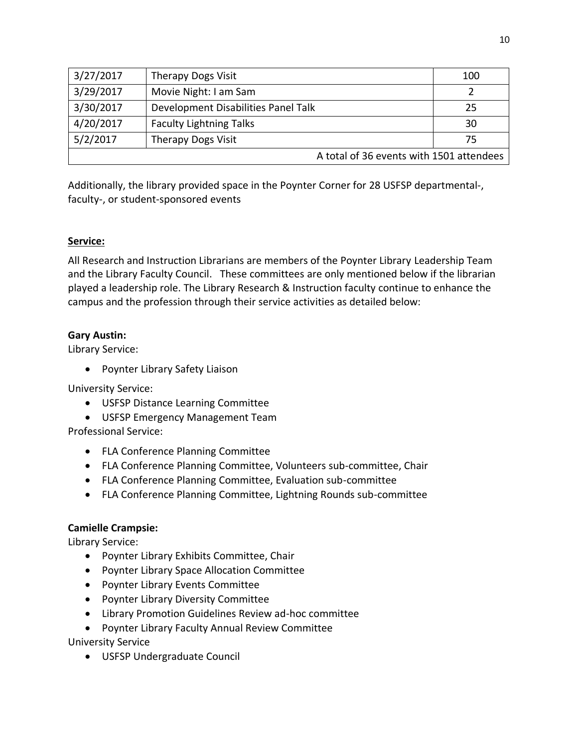| 3/27/2017                                | <b>Therapy Dogs Visit</b>           | 100 |  |
|------------------------------------------|-------------------------------------|-----|--|
| 3/29/2017                                | Movie Night: I am Sam               |     |  |
| 3/30/2017                                | Development Disabilities Panel Talk | 25  |  |
| 4/20/2017                                | <b>Faculty Lightning Talks</b>      | 30  |  |
| 5/2/2017                                 | Therapy Dogs Visit                  | 75  |  |
| A total of 36 events with 1501 attendees |                                     |     |  |

Additionally, the library provided space in the Poynter Corner for 28 USFSP departmental-, faculty-, or student-sponsored events

#### **Service:**

All Research and Instruction Librarians are members of the Poynter Library Leadership Team and the Library Faculty Council. These committees are only mentioned below if the librarian played a leadership role. The Library Research & Instruction faculty continue to enhance the campus and the profession through their service activities as detailed below:

#### **Gary Austin:**

Library Service:

• Poynter Library Safety Liaison

University Service:

- USFSP Distance Learning Committee
- USFSP Emergency Management Team

Professional Service:

- FLA Conference Planning Committee
- FLA Conference Planning Committee, Volunteers sub-committee, Chair
- FLA Conference Planning Committee, Evaluation sub-committee
- FLA Conference Planning Committee, Lightning Rounds sub-committee

## **Camielle Crampsie:**

Library Service:

- Poynter Library Exhibits Committee, Chair
- Poynter Library Space Allocation Committee
- Poynter Library Events Committee
- Poynter Library Diversity Committee
- Library Promotion Guidelines Review ad-hoc committee
- Poynter Library Faculty Annual Review Committee

University Service

• USFSP Undergraduate Council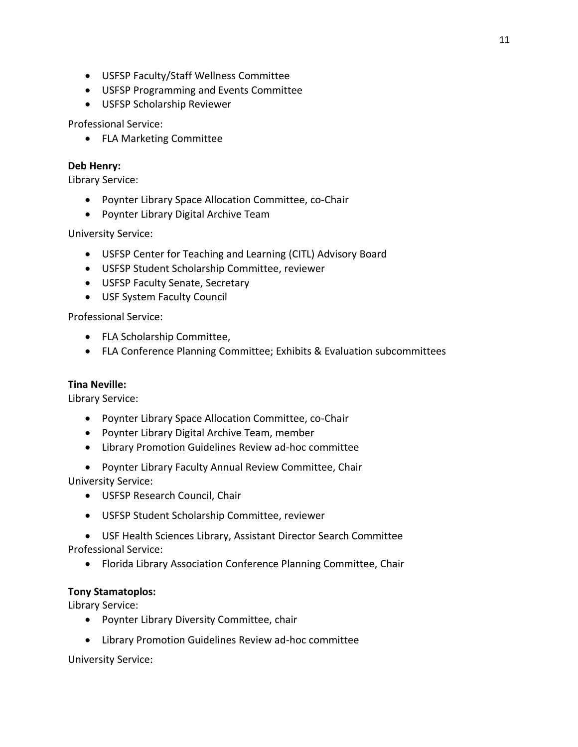- USFSP Faculty/Staff Wellness Committee
- USFSP Programming and Events Committee
- USFSP Scholarship Reviewer

Professional Service:

• FLA Marketing Committee

## **Deb Henry:**

Library Service:

- Poynter Library Space Allocation Committee, co-Chair
- Poynter Library Digital Archive Team

University Service:

- USFSP Center for Teaching and Learning (CITL) Advisory Board
- USFSP Student Scholarship Committee, reviewer
- USFSP Faculty Senate, Secretary
- USF System Faculty Council

Professional Service:

- FLA Scholarship Committee,
- FLA Conference Planning Committee; Exhibits & Evaluation subcommittees

## **Tina Neville:**

Library Service:

- Poynter Library Space Allocation Committee, co-Chair
- Poynter Library Digital Archive Team, member
- Library Promotion Guidelines Review ad-hoc committee

• Poynter Library Faculty Annual Review Committee, Chair University Service:

- USFSP Research Council, Chair
- USFSP Student Scholarship Committee, reviewer

• USF Health Sciences Library, Assistant Director Search Committee Professional Service:

• Florida Library Association Conference Planning Committee, Chair

#### **Tony Stamatoplos:**

Library Service:

- Poynter Library Diversity Committee, chair
- Library Promotion Guidelines Review ad-hoc committee

University Service: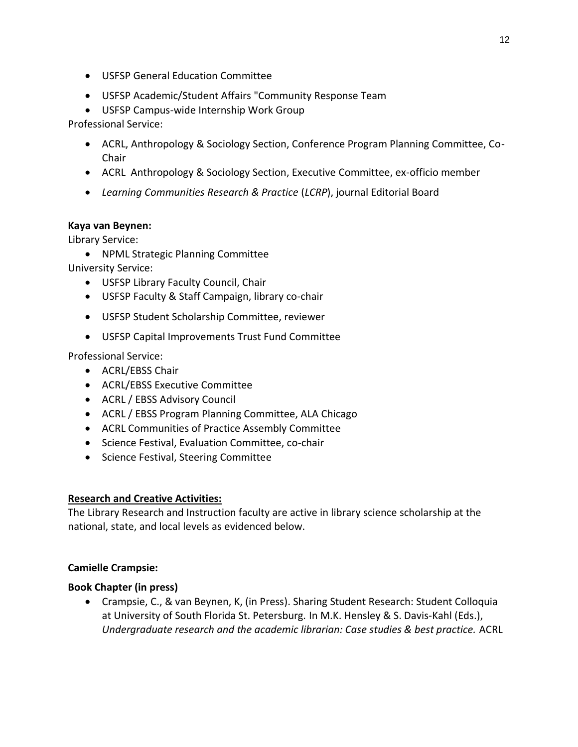- USFSP General Education Committee
- USFSP Academic/Student Affairs "Community Response Team
- USFSP Campus-wide Internship Work Group

Professional Service:

- ACRL, Anthropology & Sociology Section, Conference Program Planning Committee, Co-Chair
- ACRL Anthropology & Sociology Section, Executive Committee, ex-officio member
- *Learning Communities Research & Practice* (*LCRP*), journal Editorial Board

#### **Kaya van Beynen:**

Library Service:

• NPML Strategic Planning Committee

University Service:

- USFSP Library Faculty Council, Chair
- USFSP Faculty & Staff Campaign, library co-chair
- USFSP Student Scholarship Committee, reviewer
- USFSP Capital Improvements Trust Fund Committee

Professional Service:

- ACRL/EBSS Chair
- ACRL/EBSS Executive Committee
- ACRL / EBSS Advisory Council
- ACRL / EBSS Program Planning Committee, ALA Chicago
- ACRL Communities of Practice Assembly Committee
- Science Festival, Evaluation Committee, co-chair
- Science Festival, Steering Committee

## **Research and Creative Activities:**

The Library Research and Instruction faculty are active in library science scholarship at the national, state, and local levels as evidenced below.

## **Camielle Crampsie:**

#### **Book Chapter (in press)**

• Crampsie, C., & van Beynen, K, (in Press). Sharing Student Research: Student Colloquia at University of South Florida St. Petersburg*.* In M.K. Hensley & S. Davis-Kahl (Eds.), *Undergraduate research and the academic librarian: Case studies & best practice.* ACRL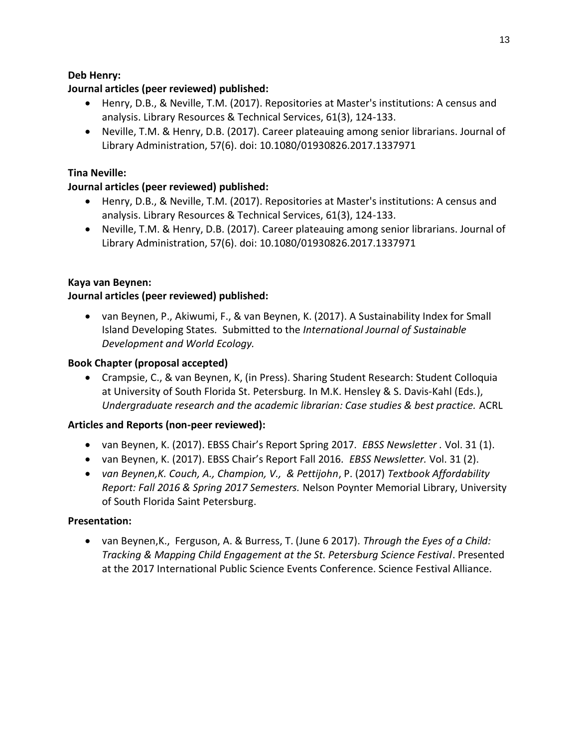#### **Deb Henry:**

## **Journal articles (peer reviewed) published:**

- Henry, D.B., & Neville, T.M. (2017). Repositories at Master's institutions: A census and analysis. Library Resources & Technical Services, 61(3), 124-133.
- Neville, T.M. & Henry, D.B. (2017). Career plateauing among senior librarians. Journal of Library Administration, 57(6). doi: 10.1080/01930826.2017.1337971

## **Tina Neville:**

## **Journal articles (peer reviewed) published:**

- Henry, D.B., & Neville, T.M. (2017). Repositories at Master's institutions: A census and analysis. Library Resources & Technical Services, 61(3), 124-133.
- Neville, T.M. & Henry, D.B. (2017). Career plateauing among senior librarians. Journal of Library Administration, 57(6). doi: 10.1080/01930826.2017.1337971

#### **Kaya van Beynen:**

#### **Journal articles (peer reviewed) published:**

• van Beynen, P., Akiwumi, F., & van Beynen, K. (2017). A Sustainability Index for Small Island Developing States*.* Submitted to the *International Journal of Sustainable Development and World Ecology.*

#### **Book Chapter (proposal accepted)**

• Crampsie, C., & van Beynen, K, (in Press). Sharing Student Research: Student Colloquia at University of South Florida St. Petersburg*.* In M.K. Hensley & S. Davis-Kahl (Eds.), *Undergraduate research and the academic librarian: Case studies & best practice.* ACRL

#### **Articles and Reports (non-peer reviewed):**

- van Beynen, K. (2017). EBSS Chair's Report Spring 2017. *EBSS Newsletter .* Vol. 31 (1).
- van Beynen, K. (2017). EBSS Chair's Report Fall 2016*. EBSS Newsletter.* Vol. 31 (2).
- *van Beynen,K. Couch, A., Champion, V., & Pettijohn*, P. (2017) *Textbook Affordability Report: Fall 2016 & Spring 2017 Semesters.* Nelson Poynter Memorial Library, University of South Florida Saint Petersburg.

#### **Presentation:**

• van Beynen,K., Ferguson, A. & Burress, T. (June 6 2017). *Through the Eyes of a Child: Tracking & Mapping Child Engagement at the St. Petersburg Science Festival*. Presented at the 2017 International Public Science Events Conference. Science Festival Alliance.